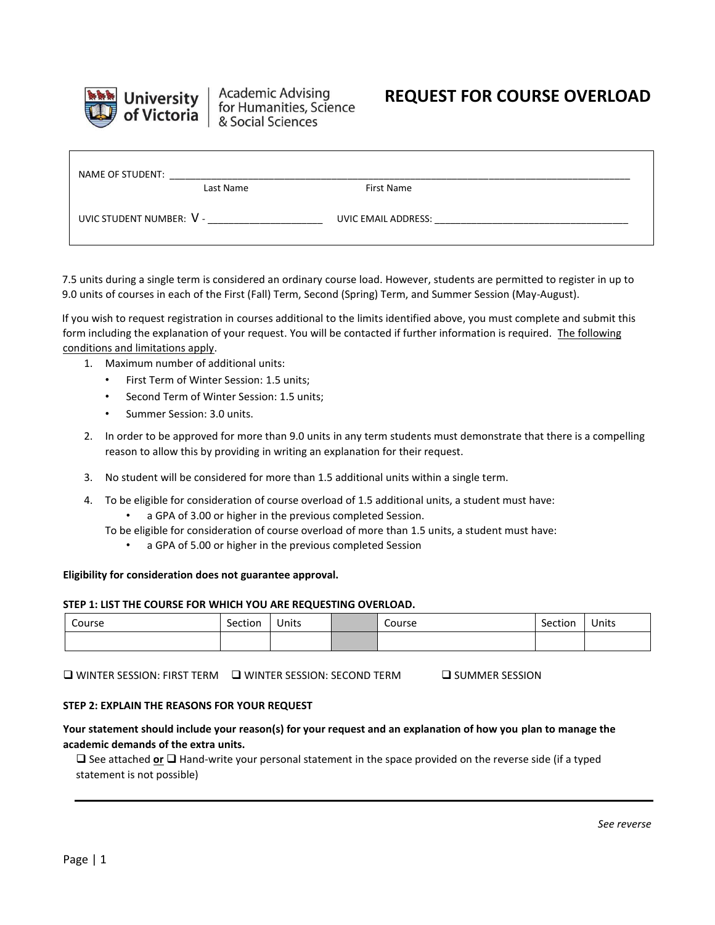

**Academic Advising** for Humanities, Science & Social Sciences

# **REQUEST FOR COURSE OVERLOAD**

| NAME OF STUDENT:         |           |                     |  |
|--------------------------|-----------|---------------------|--|
|                          | Last Name | First Name          |  |
| UVIC STUDENT NUMBER: V - |           | UVIC EMAIL ADDRESS: |  |

7.5 units during a single term is considered an ordinary course load. However, students are permitted to register in up to 9.0 units of courses in each of the First (Fall) Term, Second (Spring) Term, and Summer Session (May-August).

If you wish to request registration in courses additional to the limits identified above, you must complete and submit this form including the explanation of your request. You will be contacted if further information is required. The following conditions and limitations apply.

- 1. Maximum number of additional units:
	- First Term of Winter Session: 1.5 units;
	- Second Term of Winter Session: 1.5 units;
	- Summer Session: 3.0 units.
- 2. In order to be approved for more than 9.0 units in any term students must demonstrate that there is a compelling reason to allow this by providing in writing an explanation for their request.
- 3. No student will be considered for more than 1.5 additional units within a single term.
- 4. To be eligible for consideration of course overload of 1.5 additional units, a student must have:
	- a GPA of 3.00 or higher in the previous completed Session.
	- To be eligible for consideration of course overload of more than 1.5 units, a student must have:
		- a GPA of 5.00 or higher in the previous completed Session

#### **Eligibility for consideration does not guarantee approval.**

### **STEP 1: LIST THE COURSE FOR WHICH YOU ARE REQUESTING OVERLOAD.**

| Course | Section | Units | Course | Section | Units |
|--------|---------|-------|--------|---------|-------|
|        |         |       |        |         |       |

 $\square$  winter session: First term  $\square$  winter session: Second term  $\square$  summer session

#### **STEP 2: EXPLAIN THE REASONS FOR YOUR REQUEST**

## **Your statement should include your reason(s) for your request and an explanation of how you plan to manage the academic demands of the extra units.**

 See attached **or** Hand-write your personal statement in the space provided on the reverse side (if a typed statement is not possible)